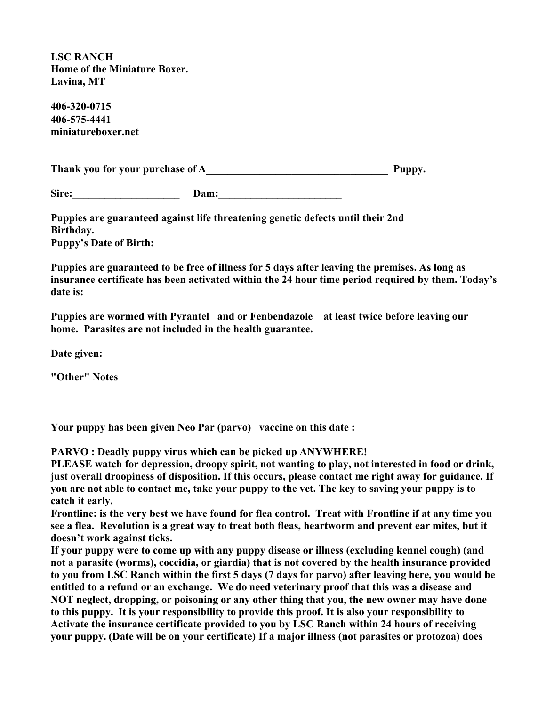**LSC RANCH Home of the Miniature Boxer. Lavina, MT**

**406-320-0715 406-575-4441 miniatureboxer.net**

**Thank you for your purchase of A\_\_\_\_\_\_\_\_\_\_\_\_\_\_\_\_\_\_\_\_\_\_\_\_\_\_\_\_\_\_\_\_\_\_ Puppy.**

Sire: **Dam:** 

**Puppies are guaranteed against life threatening genetic defects until their 2nd Birthday. Puppy's Date of Birth:** 

**Puppies are guaranteed to be free of illness for 5 days after leaving the premises. As long as insurance certificate has been activated within the 24 hour time period required by them. Today's date is:** 

**Puppies are wormed with Pyrantel and or Fenbendazole at least twice before leaving our home. Parasites are not included in the health guarantee.**

**Date given:** 

**"Other" Notes**

**Your puppy has been given Neo Par (parvo) vaccine on this date :** 

**PARVO : Deadly puppy virus which can be picked up ANYWHERE!**

**PLEASE watch for depression, droopy spirit, not wanting to play, not interested in food or drink, just overall droopiness of disposition. If this occurs, please contact me right away for guidance. If you are not able to contact me, take your puppy to the vet. The key to saving your puppy is to catch it early.**

**Frontline: is the very best we have found for flea control. Treat with Frontline if at any time you see a flea. Revolution is a great way to treat both fleas, heartworm and prevent ear mites, but it doesn't work against ticks.**

**If your puppy were to come up with any puppy disease or illness (excluding kennel cough) (and not a parasite (worms), coccidia, or giardia) that is not covered by the health insurance provided to you from LSC Ranch within the first 5 days (7 days for parvo) after leaving here, you would be entitled to a refund or an exchange. We do need veterinary proof that this was a disease and NOT neglect, dropping, or poisoning or any other thing that you, the new owner may have done to this puppy. It is your responsibility to provide this proof. It is also your responsibility to Activate the insurance certificate provided to you by LSC Ranch within 24 hours of receiving your puppy. (Date will be on your certificate) If a major illness (not parasites or protozoa) does**